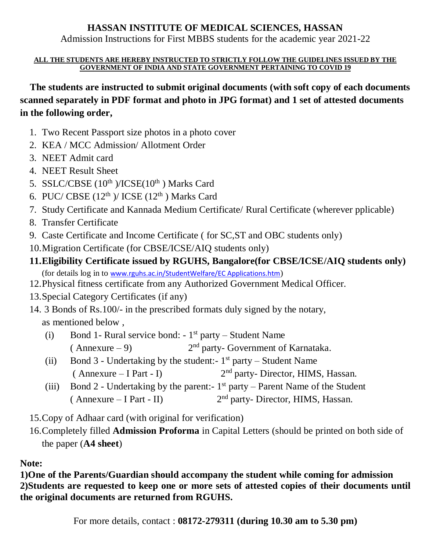## **HASSAN INSTITUTE OF MEDICAL SCIENCES, HASSAN**

Admission Instructions for First MBBS students for the academic year 2021-22

### **ALL THE STUDENTS ARE HEREBY INSTRUCTED TO STRICTLY FOLLOW THE GUIDELINES ISSUED BY THE GOVERNMENT OF INDIA AND STATE GOVERNMENT PERTAINING TO COVID 19**

 **The students are instructed to submit original documents (with soft copy of each documents scanned separately in PDF format and photo in JPG format) and 1 set of attested documents in the following order,**

- 1. Two Recent Passport size photos in a photo cover
- 2. KEA / MCC Admission/ Allotment Order
- 3. NEET Admit card
- 4. NEET Result Sheet
- 5. SSLC/CBSE  $(10^{th})$ /ICSE $(10^{th})$  Marks Card
- 6. PUC/ CBSE  $(12<sup>th</sup>)$ / ICSE  $(12<sup>th</sup>)$  Marks Card
- 7. Study Certificate and Kannada Medium Certificate/ Rural Certificate (wherever pplicable)
- 8. Transfer Certificate
- 9. Caste Certificate and Income Certificate ( for SC,ST and OBC students only)
- 10.Migration Certificate (for CBSE/ICSE/AIQ students only)
- **11.Eligibility Certificate issued by RGUHS, Bangalore(for CBSE/ICSE/AIQ students only)**
	- (for details log in to [www.rguhs.ac.in/StudentWelfare/EC Applications.htm](http://www.rguhs.ac.in/StudentWelfare/EC%20Applications.htm))
- 12.Physical fitness certificate from any Authorized Government Medical Officer.
- 13.Special Category Certificates (if any)
- 14. 3 Bonds of Rs.100/- in the prescribed formats duly signed by the notary, as mentioned below ,
	- (i) Bond 1- Rural service bond:  $-1<sup>st</sup>$  party Student Name  $(Annexure - 9)$  $2<sup>nd</sup>$  party- Government of Karnataka.
	- (ii) Bond 3 Undertaking by the student:  $1<sup>st</sup>$  party Student Name  $($  Annexure – I Part - I) 2<sup>nd</sup> party- Director, HIMS, Hassan.
	- (iii) Bond 2 Undertaking by the parent:-  $1<sup>st</sup>$  party Parent Name of the Student  $($  Annexure – I Part - II)  $2<sup>nd</sup>$  party- Director, HIMS, Hassan.
- 15.Copy of Adhaar card (with original for verification)
- 16.Completely filled **Admission Proforma** in Capital Letters (should be printed on both side of the paper (**A4 sheet**)

# **Note:**

**1)One of the Parents/Guardian should accompany the student while coming for admission 2)Students are requested to keep one or more sets of attested copies of their documents until the original documents are returned from RGUHS.**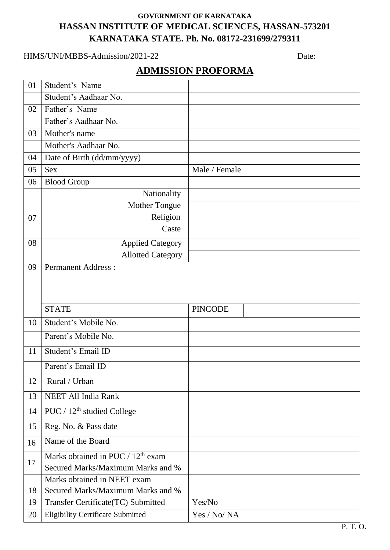## **GOVERNMENT OF KARNATAKA HASSAN INSTITUTE OF MEDICAL SCIENCES, HASSAN-573201 KARNATAKA STATE. Ph. No. 08172-231699/279311**

### HIMS/UNI/MBBS-Admission/2021-22 Date:

# **ADMISSION PROFORMA**

| 01 | Student's Name                                |                |
|----|-----------------------------------------------|----------------|
|    | Student's Aadhaar No.                         |                |
| 02 | Father's Name                                 |                |
|    | Father's Aadhaar No.                          |                |
| 03 | Mother's name                                 |                |
|    | Mother's Aadhaar No.                          |                |
| 04 | Date of Birth (dd/mm/yyyy)                    |                |
| 05 | <b>Sex</b>                                    | Male / Female  |
| 06 | <b>Blood Group</b>                            |                |
|    | Nationality                                   |                |
|    | <b>Mother Tongue</b>                          |                |
| 07 | Religion                                      |                |
|    | Caste                                         |                |
| 08 | <b>Applied Category</b>                       |                |
|    | <b>Allotted Category</b>                      |                |
| 09 | <b>Permanent Address:</b>                     |                |
|    |                                               |                |
|    |                                               |                |
|    |                                               |                |
|    | <b>STATE</b>                                  | <b>PINCODE</b> |
| 10 | Student's Mobile No.                          |                |
|    | Parent's Mobile No.                           |                |
| 11 | Student's Email ID                            |                |
|    | Parent's Email ID                             |                |
| 12 | Rural / Urban                                 |                |
| 13 | <b>NEET All India Rank</b>                    |                |
| 14 | PUC / 12 <sup>th</sup> studied College        |                |
| 15 | Reg. No. & Pass date                          |                |
| 16 | Name of the Board                             |                |
|    | Marks obtained in PUC / 12 <sup>th</sup> exam |                |
| 17 | Secured Marks/Maximum Marks and %             |                |
|    | Marks obtained in NEET exam                   |                |
| 18 | Secured Marks/Maximum Marks and %             |                |
| 19 | Transfer Certificate(TC) Submitted            | Yes/No         |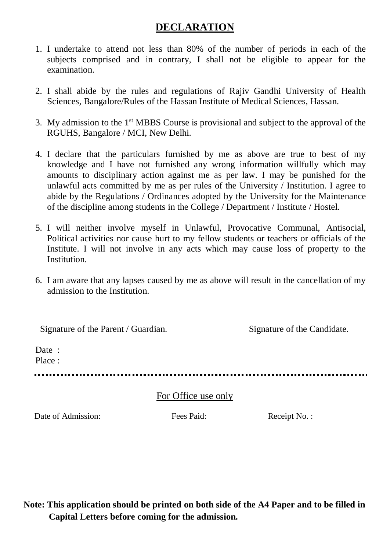# **DECLARATION**

- 1. I undertake to attend not less than 80% of the number of periods in each of the subjects comprised and in contrary, I shall not be eligible to appear for the examination.
- 2. I shall abide by the rules and regulations of Rajiv Gandhi University of Health Sciences, Bangalore/Rules of the Hassan Institute of Medical Sciences, Hassan.
- 3. My admission to the 1st MBBS Course is provisional and subject to the approval of the RGUHS, Bangalore / MCI, New Delhi.
- 4. I declare that the particulars furnished by me as above are true to best of my knowledge and I have not furnished any wrong information willfully which may amounts to disciplinary action against me as per law. I may be punished for the unlawful acts committed by me as per rules of the University / Institution. I agree to abide by the Regulations / Ordinances adopted by the University for the Maintenance of the discipline among students in the College / Department / Institute / Hostel.
- 5. I will neither involve myself in Unlawful, Provocative Communal, Antisocial, Political activities nor cause hurt to my fellow students or teachers or officials of the Institute. I will not involve in any acts which may cause loss of property to the Institution.
- 6. I am aware that any lapses caused by me as above will result in the cancellation of my admission to the Institution.

Signature of the Parent / Guardian. Signature of the Candidate. Date : Place : 

## For Office use only

Date of Admission: Fees Paid: Receipt No. :

**Note: This application should be printed on both side of the A4 Paper and to be filled in Capital Letters before coming for the admission.**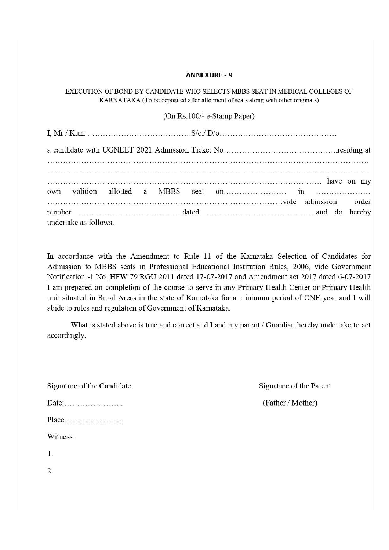#### **ANNEXURE - 9**

EXECUTION OF BOND BY CANDIDATE WHO SELECTS MBBS SEAT IN MEDICAL COLLEGES OF KARNATAKA (To be deposited after allotment of seats along with other originals)

(On Rs.100/- e-Stamp Paper)

|                       |  |  | vide admission order |  |
|-----------------------|--|--|----------------------|--|
|                       |  |  |                      |  |
| undertake as follows. |  |  |                      |  |

In accordance with the Amendment to Rule 11 of the Karnataka Selection of Candidates for Admission to MBBS seats in Professional Educational Institution Rules, 2006, vide Government Notification -1 No. HFW 79 RGU 2011 dated 17-07-2017 and Amendment act 2017 dated 6-07-2017 I am prepared on completion of the course to serve in any Primary Health Center or Primary Health unit situated in Rural Areas in the state of Karnataka for a minimum period of ONE year and I will abide to rules and regulation of Government of Karnataka.

What is stated above is true and correct and I and my parent / Guardian hereby undertake to act accordingly.

Signature of the Candidate.

Date:........................ 

Witness:

 $1.$ 

 $\overline{2}$ .

Signature of the Parent

(Father / Mother)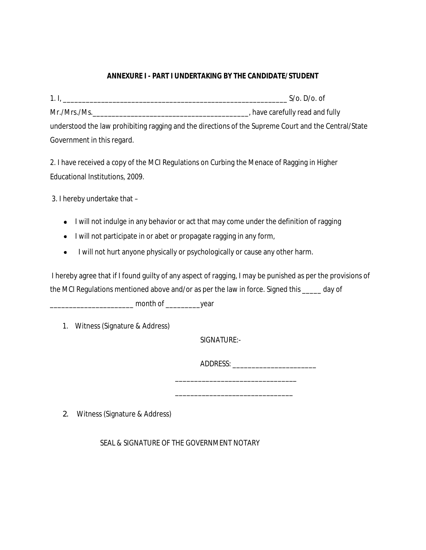### **ANNEXURE I - PART I UNDERTAKING BY THE CANDIDATE/STUDENT**

| 1.1          | $S/O. D/O.$ of                                                                                    |
|--------------|---------------------------------------------------------------------------------------------------|
| Mr./Mrs./Ms. | , have carefully read and fully                                                                   |
|              | understood the Jaw probibiting ragging and the directions of the Supreme Court and the Central/St |

understood the law prohibiting ragging and the directions of the Supreme Court and the Central/State Government in this regard.

2. I have received a copy of the MCI Regulations on Curbing the Menace of Ragging in Higher Educational Institutions, 2009.

3. I hereby undertake that –

- I will not indulge in any behavior or act that may come under the definition of ragging
- I will not participate in or abet or propagate ragging in any form,
- I will not hurt anyone physically or psychologically or cause any other harm.  $\bullet$

 I hereby agree that if I found guilty of any aspect of ragging, I may be punished as per the provisions of the MCI Regulations mentioned above and/or as per the law in force. Signed this \_\_\_\_\_ day of

\_\_\_\_\_\_\_\_\_\_\_\_\_\_\_\_\_\_\_\_\_\_ month of \_\_\_\_\_\_\_\_\_year

1. Witness (Signature & Address)

SIGNATURE:-

ADDRESS: \_\_\_\_\_\_\_\_\_\_\_\_\_\_\_\_\_\_\_\_\_\_

\_\_\_\_\_\_\_\_\_\_\_\_\_\_\_\_\_\_\_\_\_\_\_\_\_\_\_\_\_\_\_\_

\_\_\_\_\_\_\_\_\_\_\_\_\_\_\_\_\_\_\_\_\_\_\_\_\_\_\_\_\_\_\_

2. Witness (Signature & Address)

SEAL & SIGNATURE OF THE GOVERNMENT NOTARY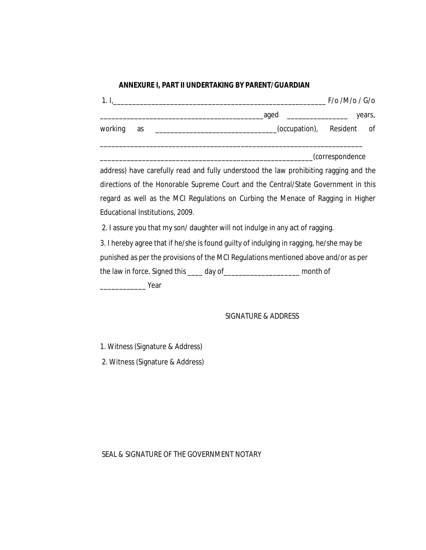#### **ANNEXURE I, PART II UNDERTAKING BY PARENT/GUARDIAN**

|                                                                                  |    |                                                                                                                                                   | $F$ /o /M/o / G/o |        |
|----------------------------------------------------------------------------------|----|---------------------------------------------------------------------------------------------------------------------------------------------------|-------------------|--------|
|                                                                                  |    | aged                                                                                                                                              |                   | years, |
| working                                                                          | as | (occupation), Resident of<br><u> 1989 - Johann John Stein, markin fan it ferstjer fan it ferstjer fan it ferstjer fan it ferstjer fan it fers</u> |                   |        |
|                                                                                  |    |                                                                                                                                                   | (correspondence   |        |
|                                                                                  |    | address) have carefully read and fully understood the law prohibiting ragging and the                                                             |                   |        |
|                                                                                  |    | directions of the Honorable Supreme Court and the Central/State Government in this                                                                |                   |        |
| regard as well as the MCI Regulations on Curbing the Menace of Ragging in Higher |    |                                                                                                                                                   |                   |        |

Educational Institutions, 2009.

2. I assure you that my son/ daughter will not indulge in any act of ragging.

| 3. I hereby agree that if he/she is found guilty of indulging in ragging, he/she may be |          |
|-----------------------------------------------------------------------------------------|----------|
| punished as per the provisions of the MCI Regulations mentioned above and/or as per     |          |
| the law in force. Signed this ____ day of_                                              | month of |
| Year                                                                                    |          |

#### SIGNATURE & ADDRESS

1. Witness (Signature & Address)

2. Witness (Signature & Address)

### SEAL & SIGNATURE OF THE GOVERNMENT NOTARY